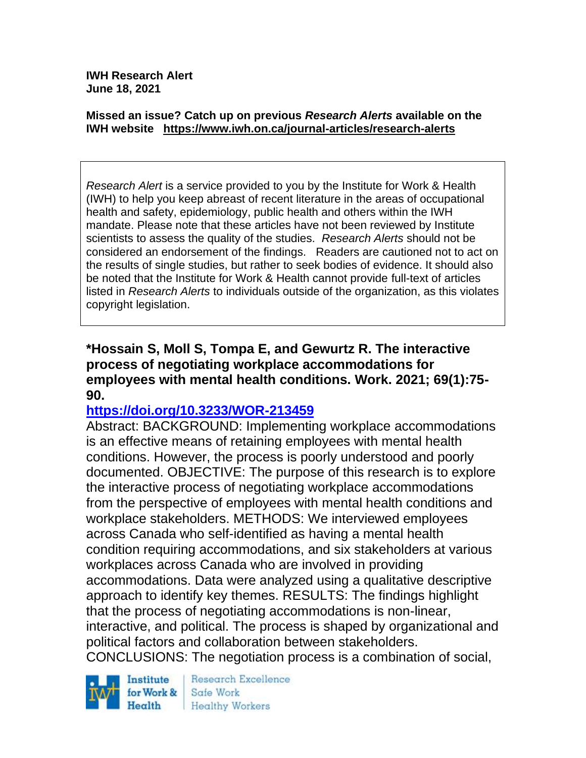**IWH Research Alert June 18, 2021**

#### **Missed an issue? Catch up on previous** *Research Alerts* **available on the [IWH website](http://www.iwh.on.ca/research-alerts) <https://www.iwh.on.ca/journal-articles/research-alerts>**

*Research Alert* is a service provided to you by the Institute for Work & Health (IWH) to help you keep abreast of recent literature in the areas of occupational health and safety, epidemiology, public health and others within the IWH mandate. Please note that these articles have not been reviewed by Institute scientists to assess the quality of the studies. *Research Alerts* should not be considered an endorsement of the findings. Readers are cautioned not to act on the results of single studies, but rather to seek bodies of evidence. It should also be noted that the Institute for Work & Health cannot provide full-text of articles listed in *Research Alerts* to individuals outside of the organization, as this violates copyright legislation.

#### **\*Hossain S, Moll S, Tompa E, and Gewurtz R. The interactive process of negotiating workplace accommodations for employees with mental health conditions. Work. 2021; 69(1):75- 90.**

### **<https://doi.org/10.3233/WOR-213459>**

Abstract: BACKGROUND: Implementing workplace accommodations is an effective means of retaining employees with mental health conditions. However, the process is poorly understood and poorly documented. OBJECTIVE: The purpose of this research is to explore the interactive process of negotiating workplace accommodations from the perspective of employees with mental health conditions and workplace stakeholders. METHODS: We interviewed employees across Canada who self-identified as having a mental health condition requiring accommodations, and six stakeholders at various workplaces across Canada who are involved in providing accommodations. Data were analyzed using a qualitative descriptive approach to identify key themes. RESULTS: The findings highlight that the process of negotiating accommodations is non-linear, interactive, and political. The process is shaped by organizational and political factors and collaboration between stakeholders. CONCLUSIONS: The negotiation process is a combination of social,



Research Excellence Safe Work **Healthy Workers**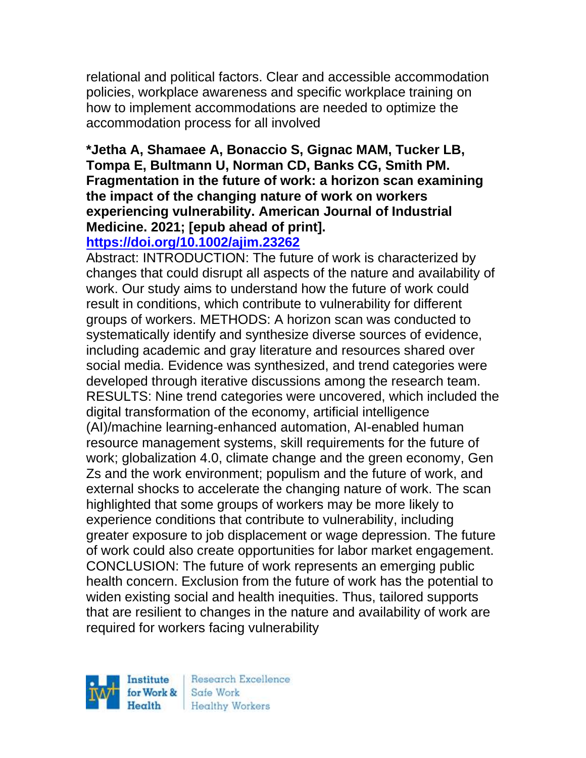relational and political factors. Clear and accessible accommodation policies, workplace awareness and specific workplace training on how to implement accommodations are needed to optimize the accommodation process for all involved

# **\*Jetha A, Shamaee A, Bonaccio S, Gignac MAM, Tucker LB, Tompa E, Bultmann U, Norman CD, Banks CG, Smith PM. Fragmentation in the future of work: a horizon scan examining the impact of the changing nature of work on workers experiencing vulnerability. American Journal of Industrial Medicine. 2021; [epub ahead of print].**

# **<https://doi.org/10.1002/ajim.23262>**

Abstract: INTRODUCTION: The future of work is characterized by changes that could disrupt all aspects of the nature and availability of work. Our study aims to understand how the future of work could result in conditions, which contribute to vulnerability for different groups of workers. METHODS: A horizon scan was conducted to systematically identify and synthesize diverse sources of evidence, including academic and gray literature and resources shared over social media. Evidence was synthesized, and trend categories were developed through iterative discussions among the research team. RESULTS: Nine trend categories were uncovered, which included the digital transformation of the economy, artificial intelligence (AI)/machine learning-enhanced automation, AI-enabled human resource management systems, skill requirements for the future of work; globalization 4.0, climate change and the green economy, Gen Zs and the work environment; populism and the future of work, and external shocks to accelerate the changing nature of work. The scan highlighted that some groups of workers may be more likely to experience conditions that contribute to vulnerability, including greater exposure to job displacement or wage depression. The future of work could also create opportunities for labor market engagement. CONCLUSION: The future of work represents an emerging public health concern. Exclusion from the future of work has the potential to widen existing social and health inequities. Thus, tailored supports that are resilient to changes in the nature and availability of work are required for workers facing vulnerability

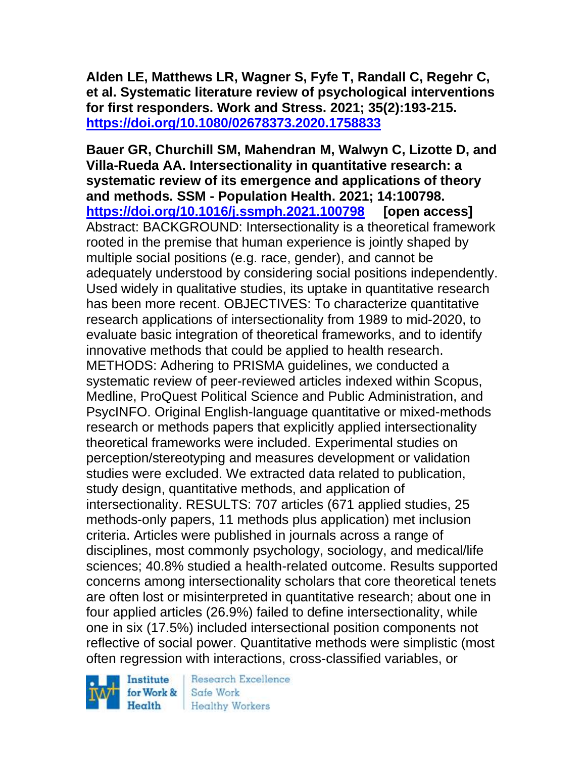**Alden LE, Matthews LR, Wagner S, Fyfe T, Randall C, Regehr C, et al. Systematic literature review of psychological interventions for first responders. Work and Stress. 2021; 35(2):193-215. <https://doi.org/10.1080/02678373.2020.1758833>** 

**Bauer GR, Churchill SM, Mahendran M, Walwyn C, Lizotte D, and Villa-Rueda AA. Intersectionality in quantitative research: a systematic review of its emergence and applications of theory and methods. SSM - Population Health. 2021; 14:100798. <https://doi.org/10.1016/j.ssmph.2021.100798> [open access]** Abstract: BACKGROUND: Intersectionality is a theoretical framework rooted in the premise that human experience is jointly shaped by multiple social positions (e.g. race, gender), and cannot be adequately understood by considering social positions independently. Used widely in qualitative studies, its uptake in quantitative research has been more recent. OBJECTIVES: To characterize quantitative research applications of intersectionality from 1989 to mid-2020, to evaluate basic integration of theoretical frameworks, and to identify innovative methods that could be applied to health research. METHODS: Adhering to PRISMA guidelines, we conducted a systematic review of peer-reviewed articles indexed within Scopus, Medline, ProQuest Political Science and Public Administration, and PsycINFO. Original English-language quantitative or mixed-methods research or methods papers that explicitly applied intersectionality theoretical frameworks were included. Experimental studies on perception/stereotyping and measures development or validation studies were excluded. We extracted data related to publication, study design, quantitative methods, and application of intersectionality. RESULTS: 707 articles (671 applied studies, 25 methods-only papers, 11 methods plus application) met inclusion criteria. Articles were published in journals across a range of disciplines, most commonly psychology, sociology, and medical/life sciences; 40.8% studied a health-related outcome. Results supported concerns among intersectionality scholars that core theoretical tenets are often lost or misinterpreted in quantitative research; about one in four applied articles (26.9%) failed to define intersectionality, while one in six (17.5%) included intersectional position components not reflective of social power. Quantitative methods were simplistic (most often regression with interactions, cross-classified variables, or

Institute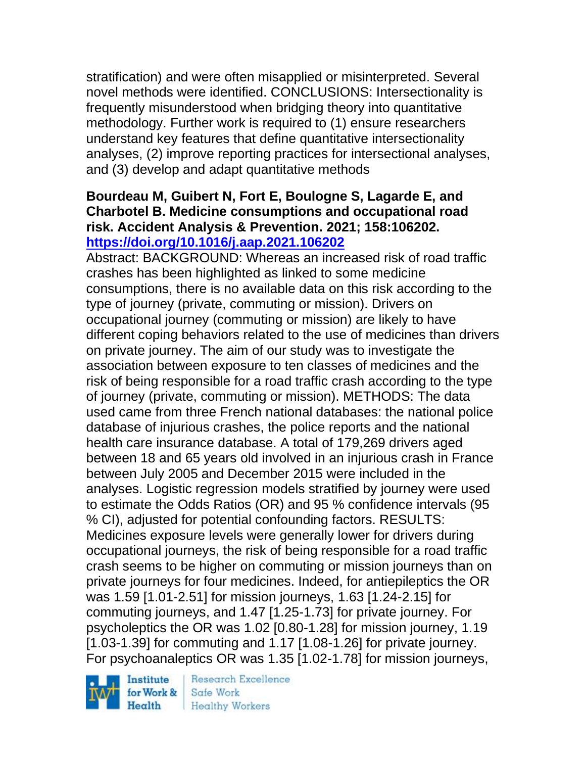stratification) and were often misapplied or misinterpreted. Several novel methods were identified. CONCLUSIONS: Intersectionality is frequently misunderstood when bridging theory into quantitative methodology. Further work is required to (1) ensure researchers understand key features that define quantitative intersectionality analyses, (2) improve reporting practices for intersectional analyses, and (3) develop and adapt quantitative methods

# **Bourdeau M, Guibert N, Fort E, Boulogne S, Lagarde E, and Charbotel B. Medicine consumptions and occupational road risk. Accident Analysis & Prevention. 2021; 158:106202. <https://doi.org/10.1016/j.aap.2021.106202>**

Abstract: BACKGROUND: Whereas an increased risk of road traffic crashes has been highlighted as linked to some medicine consumptions, there is no available data on this risk according to the type of journey (private, commuting or mission). Drivers on occupational journey (commuting or mission) are likely to have different coping behaviors related to the use of medicines than drivers on private journey. The aim of our study was to investigate the association between exposure to ten classes of medicines and the risk of being responsible for a road traffic crash according to the type of journey (private, commuting or mission). METHODS: The data used came from three French national databases: the national police database of injurious crashes, the police reports and the national health care insurance database. A total of 179,269 drivers aged between 18 and 65 years old involved in an injurious crash in France between July 2005 and December 2015 were included in the analyses. Logistic regression models stratified by journey were used to estimate the Odds Ratios (OR) and 95 % confidence intervals (95 % CI), adjusted for potential confounding factors. RESULTS: Medicines exposure levels were generally lower for drivers during occupational journeys, the risk of being responsible for a road traffic crash seems to be higher on commuting or mission journeys than on private journeys for four medicines. Indeed, for antiepileptics the OR was 1.59 [1.01-2.51] for mission journeys, 1.63 [1.24-2.15] for commuting journeys, and 1.47 [1.25-1.73] for private journey. For psycholeptics the OR was 1.02 [0.80-1.28] for mission journey, 1.19 [1.03-1.39] for commuting and 1.17 [1.08-1.26] for private journey. For psychoanaleptics OR was 1.35 [1.02-1.78] for mission journeys,

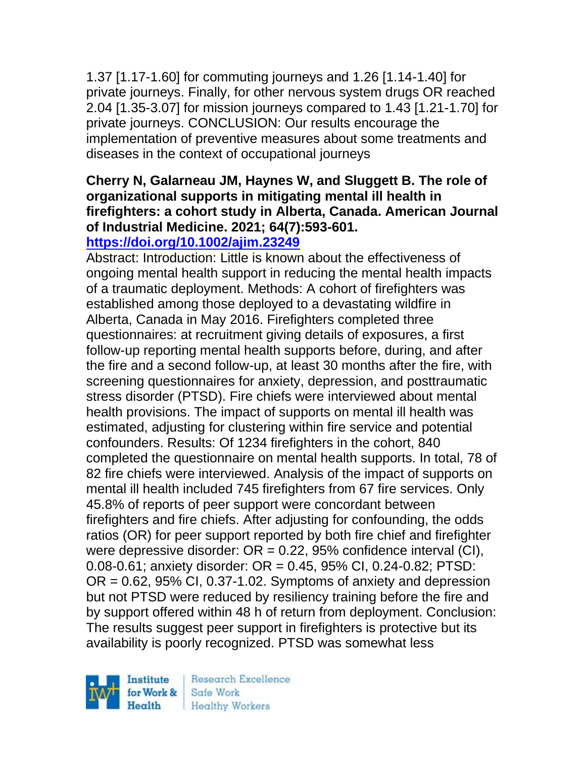1.37 [1.17-1.60] for commuting journeys and 1.26 [1.14-1.40] for private journeys. Finally, for other nervous system drugs OR reached 2.04 [1.35-3.07] for mission journeys compared to 1.43 [1.21-1.70] for private journeys. CONCLUSION: Our results encourage the implementation of preventive measures about some treatments and diseases in the context of occupational journeys

# **Cherry N, Galarneau JM, Haynes W, and Sluggett B. The role of organizational supports in mitigating mental ill health in firefighters: a cohort study in Alberta, Canada. American Journal of Industrial Medicine. 2021; 64(7):593-601.**

# **<https://doi.org/10.1002/ajim.23249>**

Abstract: Introduction: Little is known about the effectiveness of ongoing mental health support in reducing the mental health impacts of a traumatic deployment. Methods: A cohort of firefighters was established among those deployed to a devastating wildfire in Alberta, Canada in May 2016. Firefighters completed three questionnaires: at recruitment giving details of exposures, a first follow-up reporting mental health supports before, during, and after the fire and a second follow-up, at least 30 months after the fire, with screening questionnaires for anxiety, depression, and posttraumatic stress disorder (PTSD). Fire chiefs were interviewed about mental health provisions. The impact of supports on mental ill health was estimated, adjusting for clustering within fire service and potential confounders. Results: Of 1234 firefighters in the cohort, 840 completed the questionnaire on mental health supports. In total, 78 of 82 fire chiefs were interviewed. Analysis of the impact of supports on mental ill health included 745 firefighters from 67 fire services. Only 45.8% of reports of peer support were concordant between firefighters and fire chiefs. After adjusting for confounding, the odds ratios (OR) for peer support reported by both fire chief and firefighter were depressive disorder:  $OR = 0.22$ , 95% confidence interval (CI), 0.08-0.61; anxiety disorder: OR = 0.45, 95% CI, 0.24-0.82; PTSD:  $OR = 0.62$ , 95% CI, 0.37-1.02. Symptoms of anxiety and depression but not PTSD were reduced by resiliency training before the fire and by support offered within 48 h of return from deployment. Conclusion: The results suggest peer support in firefighters is protective but its availability is poorly recognized. PTSD was somewhat less

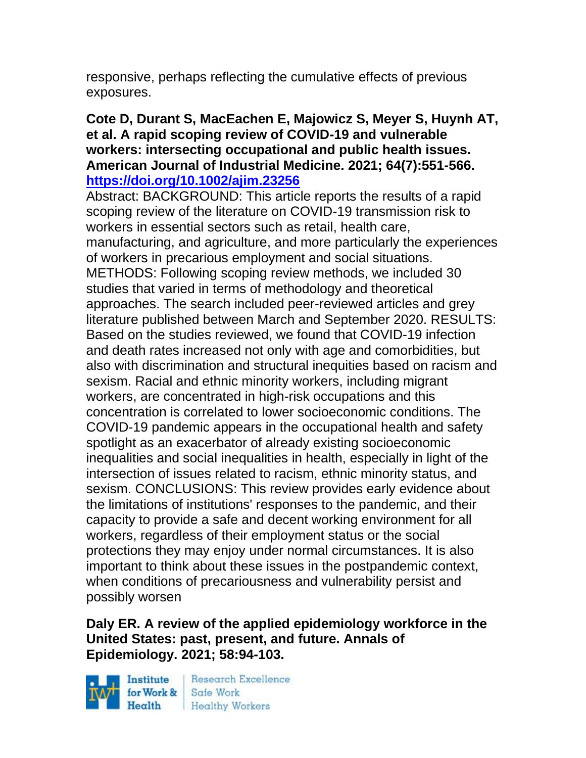responsive, perhaps reflecting the cumulative effects of previous exposures.

#### **Cote D, Durant S, MacEachen E, Majowicz S, Meyer S, Huynh AT, et al. A rapid scoping review of COVID-19 and vulnerable workers: intersecting occupational and public health issues. American Journal of Industrial Medicine. 2021; 64(7):551-566. <https://doi.org/10.1002/ajim.23256>**

Abstract: BACKGROUND: This article reports the results of a rapid scoping review of the literature on COVID-19 transmission risk to workers in essential sectors such as retail, health care, manufacturing, and agriculture, and more particularly the experiences of workers in precarious employment and social situations. METHODS: Following scoping review methods, we included 30 studies that varied in terms of methodology and theoretical approaches. The search included peer-reviewed articles and grey literature published between March and September 2020. RESULTS: Based on the studies reviewed, we found that COVID-19 infection and death rates increased not only with age and comorbidities, but also with discrimination and structural inequities based on racism and sexism. Racial and ethnic minority workers, including migrant workers, are concentrated in high-risk occupations and this concentration is correlated to lower socioeconomic conditions. The COVID-19 pandemic appears in the occupational health and safety spotlight as an exacerbator of already existing socioeconomic inequalities and social inequalities in health, especially in light of the intersection of issues related to racism, ethnic minority status, and sexism. CONCLUSIONS: This review provides early evidence about the limitations of institutions' responses to the pandemic, and their capacity to provide a safe and decent working environment for all workers, regardless of their employment status or the social protections they may enjoy under normal circumstances. It is also important to think about these issues in the postpandemic context, when conditions of precariousness and vulnerability persist and possibly worsen

# **Daly ER. A review of the applied epidemiology workforce in the United States: past, present, and future. Annals of Epidemiology. 2021; 58:94-103.**

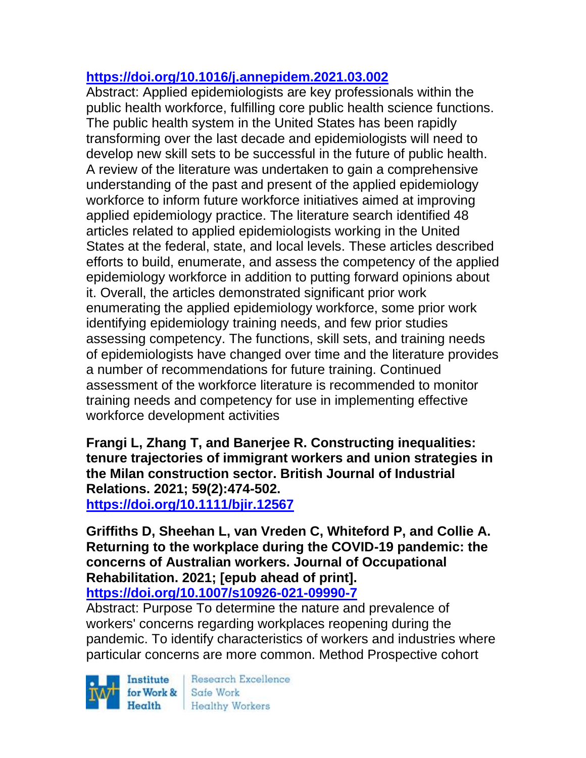# **<https://doi.org/10.1016/j.annepidem.2021.03.002>**

Abstract: Applied epidemiologists are key professionals within the public health workforce, fulfilling core public health science functions. The public health system in the United States has been rapidly transforming over the last decade and epidemiologists will need to develop new skill sets to be successful in the future of public health. A review of the literature was undertaken to gain a comprehensive understanding of the past and present of the applied epidemiology workforce to inform future workforce initiatives aimed at improving applied epidemiology practice. The literature search identified 48 articles related to applied epidemiologists working in the United States at the federal, state, and local levels. These articles described efforts to build, enumerate, and assess the competency of the applied epidemiology workforce in addition to putting forward opinions about it. Overall, the articles demonstrated significant prior work enumerating the applied epidemiology workforce, some prior work identifying epidemiology training needs, and few prior studies assessing competency. The functions, skill sets, and training needs of epidemiologists have changed over time and the literature provides a number of recommendations for future training. Continued assessment of the workforce literature is recommended to monitor training needs and competency for use in implementing effective workforce development activities

**Frangi L, Zhang T, and Banerjee R. Constructing inequalities: tenure trajectories of immigrant workers and union strategies in the Milan construction sector. British Journal of Industrial Relations. 2021; 59(2):474-502. <https://doi.org/10.1111/bjir.12567>** 

**Griffiths D, Sheehan L, van Vreden C, Whiteford P, and Collie A. Returning to the workplace during the COVID-19 pandemic: the concerns of Australian workers. Journal of Occupational Rehabilitation. 2021; [epub ahead of print]. <https://doi.org/10.1007/s10926-021-09990-7>** 

Abstract: Purpose To determine the nature and prevalence of workers' concerns regarding workplaces reopening during the pandemic. To identify characteristics of workers and industries where particular concerns are more common. Method Prospective cohort

Institute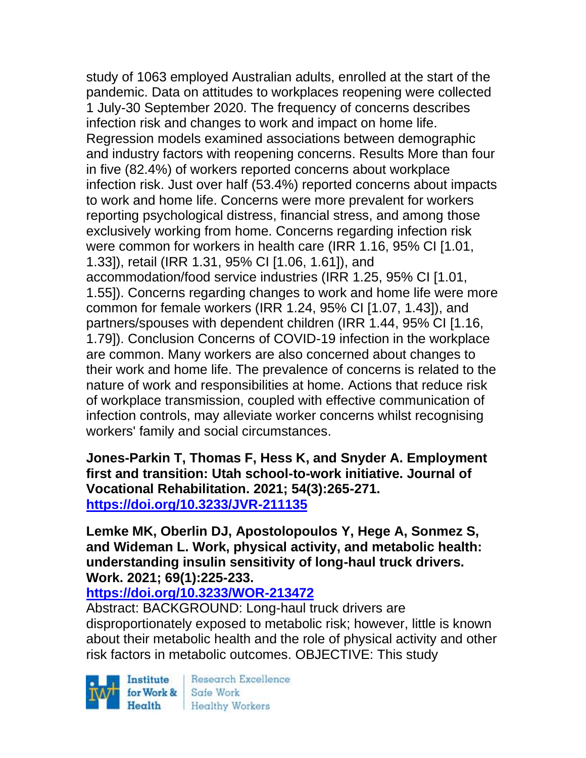study of 1063 employed Australian adults, enrolled at the start of the pandemic. Data on attitudes to workplaces reopening were collected 1 July-30 September 2020. The frequency of concerns describes infection risk and changes to work and impact on home life. Regression models examined associations between demographic and industry factors with reopening concerns. Results More than four in five (82.4%) of workers reported concerns about workplace infection risk. Just over half (53.4%) reported concerns about impacts to work and home life. Concerns were more prevalent for workers reporting psychological distress, financial stress, and among those exclusively working from home. Concerns regarding infection risk were common for workers in health care (IRR 1.16, 95% CI [1.01, 1.33]), retail (IRR 1.31, 95% CI [1.06, 1.61]), and accommodation/food service industries (IRR 1.25, 95% CI [1.01, 1.55]). Concerns regarding changes to work and home life were more common for female workers (IRR 1.24, 95% CI [1.07, 1.43]), and partners/spouses with dependent children (IRR 1.44, 95% CI [1.16, 1.79]). Conclusion Concerns of COVID-19 infection in the workplace are common. Many workers are also concerned about changes to their work and home life. The prevalence of concerns is related to the nature of work and responsibilities at home. Actions that reduce risk of workplace transmission, coupled with effective communication of infection controls, may alleviate worker concerns whilst recognising workers' family and social circumstances.

**Jones-Parkin T, Thomas F, Hess K, and Snyder A. Employment first and transition: Utah school-to-work initiative. Journal of Vocational Rehabilitation. 2021; 54(3):265-271. <https://doi.org/10.3233/JVR-211135>** 

**Lemke MK, Oberlin DJ, Apostolopoulos Y, Hege A, Sonmez S, and Wideman L. Work, physical activity, and metabolic health: understanding insulin sensitivity of long-haul truck drivers. Work. 2021; 69(1):225-233.** 

### **<https://doi.org/10.3233/WOR-213472>**

Abstract: BACKGROUND: Long-haul truck drivers are disproportionately exposed to metabolic risk; however, little is known about their metabolic health and the role of physical activity and other risk factors in metabolic outcomes. OBJECTIVE: This study

Institute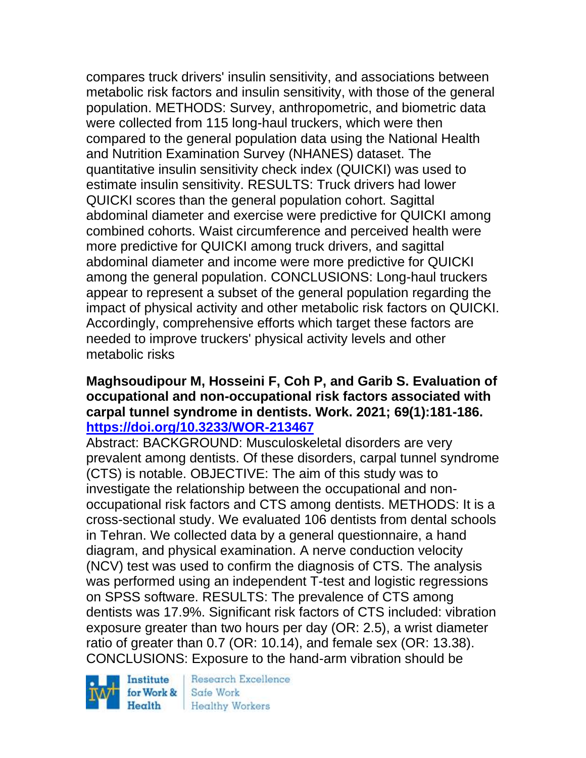compares truck drivers' insulin sensitivity, and associations between metabolic risk factors and insulin sensitivity, with those of the general population. METHODS: Survey, anthropometric, and biometric data were collected from 115 long-haul truckers, which were then compared to the general population data using the National Health and Nutrition Examination Survey (NHANES) dataset. The quantitative insulin sensitivity check index (QUICKI) was used to estimate insulin sensitivity. RESULTS: Truck drivers had lower QUICKI scores than the general population cohort. Sagittal abdominal diameter and exercise were predictive for QUICKI among combined cohorts. Waist circumference and perceived health were more predictive for QUICKI among truck drivers, and sagittal abdominal diameter and income were more predictive for QUICKI among the general population. CONCLUSIONS: Long-haul truckers appear to represent a subset of the general population regarding the impact of physical activity and other metabolic risk factors on QUICKI. Accordingly, comprehensive efforts which target these factors are needed to improve truckers' physical activity levels and other metabolic risks

### **Maghsoudipour M, Hosseini F, Coh P, and Garib S. Evaluation of occupational and non-occupational risk factors associated with carpal tunnel syndrome in dentists. Work. 2021; 69(1):181-186. <https://doi.org/10.3233/WOR-213467>**

Abstract: BACKGROUND: Musculoskeletal disorders are very prevalent among dentists. Of these disorders, carpal tunnel syndrome (CTS) is notable. OBJECTIVE: The aim of this study was to investigate the relationship between the occupational and nonoccupational risk factors and CTS among dentists. METHODS: It is a cross-sectional study. We evaluated 106 dentists from dental schools in Tehran. We collected data by a general questionnaire, a hand diagram, and physical examination. A nerve conduction velocity (NCV) test was used to confirm the diagnosis of CTS. The analysis was performed using an independent T-test and logistic regressions on SPSS software. RESULTS: The prevalence of CTS among dentists was 17.9%. Significant risk factors of CTS included: vibration exposure greater than two hours per day (OR: 2.5), a wrist diameter ratio of greater than 0.7 (OR: 10.14), and female sex (OR: 13.38). CONCLUSIONS: Exposure to the hand-arm vibration should be

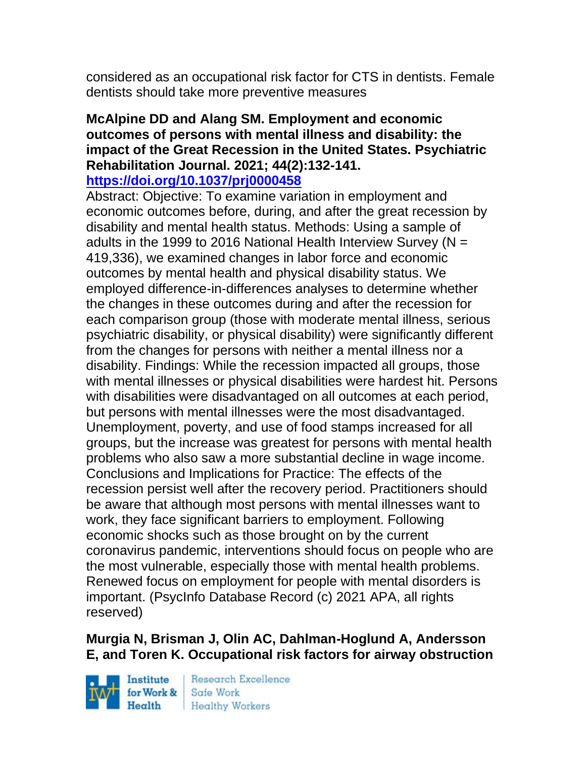considered as an occupational risk factor for CTS in dentists. Female dentists should take more preventive measures

# **McAlpine DD and Alang SM. Employment and economic outcomes of persons with mental illness and disability: the impact of the Great Recession in the United States. Psychiatric Rehabilitation Journal. 2021; 44(2):132-141.**

#### **<https://doi.org/10.1037/prj0000458>**

Abstract: Objective: To examine variation in employment and economic outcomes before, during, and after the great recession by disability and mental health status. Methods: Using a sample of adults in the 1999 to 2016 National Health Interview Survey ( $N =$ 419,336), we examined changes in labor force and economic outcomes by mental health and physical disability status. We employed difference-in-differences analyses to determine whether the changes in these outcomes during and after the recession for each comparison group (those with moderate mental illness, serious psychiatric disability, or physical disability) were significantly different from the changes for persons with neither a mental illness nor a disability. Findings: While the recession impacted all groups, those with mental illnesses or physical disabilities were hardest hit. Persons with disabilities were disadvantaged on all outcomes at each period, but persons with mental illnesses were the most disadvantaged. Unemployment, poverty, and use of food stamps increased for all groups, but the increase was greatest for persons with mental health problems who also saw a more substantial decline in wage income. Conclusions and Implications for Practice: The effects of the recession persist well after the recovery period. Practitioners should be aware that although most persons with mental illnesses want to work, they face significant barriers to employment. Following economic shocks such as those brought on by the current coronavirus pandemic, interventions should focus on people who are the most vulnerable, especially those with mental health problems. Renewed focus on employment for people with mental disorders is important. (PsycInfo Database Record (c) 2021 APA, all rights reserved)

# **Murgia N, Brisman J, Olin AC, Dahlman-Hoglund A, Andersson E, and Toren K. Occupational risk factors for airway obstruction**

Institute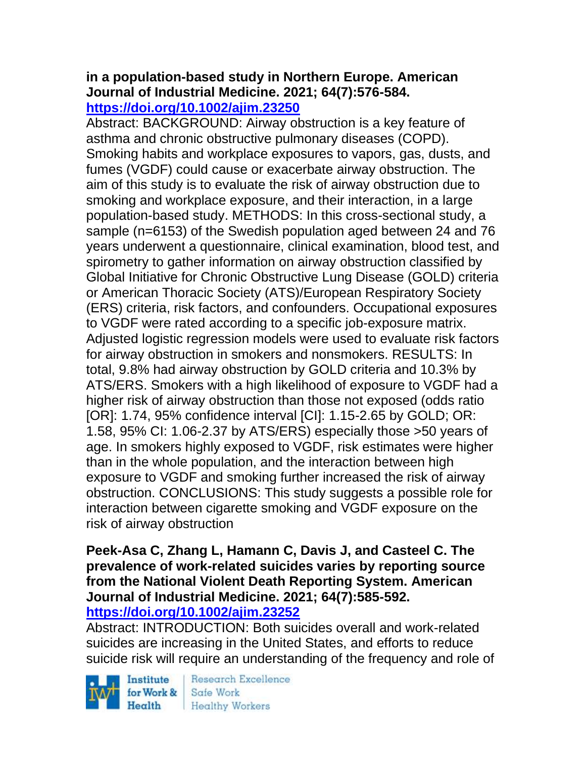#### **in a population-based study in Northern Europe. American Journal of Industrial Medicine. 2021; 64(7):576-584. <https://doi.org/10.1002/ajim.23250>**

Abstract: BACKGROUND: Airway obstruction is a key feature of asthma and chronic obstructive pulmonary diseases (COPD). Smoking habits and workplace exposures to vapors, gas, dusts, and fumes (VGDF) could cause or exacerbate airway obstruction. The aim of this study is to evaluate the risk of airway obstruction due to smoking and workplace exposure, and their interaction, in a large population-based study. METHODS: In this cross-sectional study, a sample (n=6153) of the Swedish population aged between 24 and 76 years underwent a questionnaire, clinical examination, blood test, and spirometry to gather information on airway obstruction classified by Global Initiative for Chronic Obstructive Lung Disease (GOLD) criteria or American Thoracic Society (ATS)/European Respiratory Society (ERS) criteria, risk factors, and confounders. Occupational exposures to VGDF were rated according to a specific job-exposure matrix. Adjusted logistic regression models were used to evaluate risk factors for airway obstruction in smokers and nonsmokers. RESULTS: In total, 9.8% had airway obstruction by GOLD criteria and 10.3% by ATS/ERS. Smokers with a high likelihood of exposure to VGDF had a higher risk of airway obstruction than those not exposed (odds ratio [OR]: 1.74, 95% confidence interval [CI]: 1.15-2.65 by GOLD; OR: 1.58, 95% CI: 1.06-2.37 by ATS/ERS) especially those >50 years of age. In smokers highly exposed to VGDF, risk estimates were higher than in the whole population, and the interaction between high exposure to VGDF and smoking further increased the risk of airway obstruction. CONCLUSIONS: This study suggests a possible role for interaction between cigarette smoking and VGDF exposure on the risk of airway obstruction

#### **Peek-Asa C, Zhang L, Hamann C, Davis J, and Casteel C. The prevalence of work-related suicides varies by reporting source from the National Violent Death Reporting System. American Journal of Industrial Medicine. 2021; 64(7):585-592. <https://doi.org/10.1002/ajim.23252>**

Abstract: INTRODUCTION: Both suicides overall and work-related suicides are increasing in the United States, and efforts to reduce suicide risk will require an understanding of the frequency and role of

Institute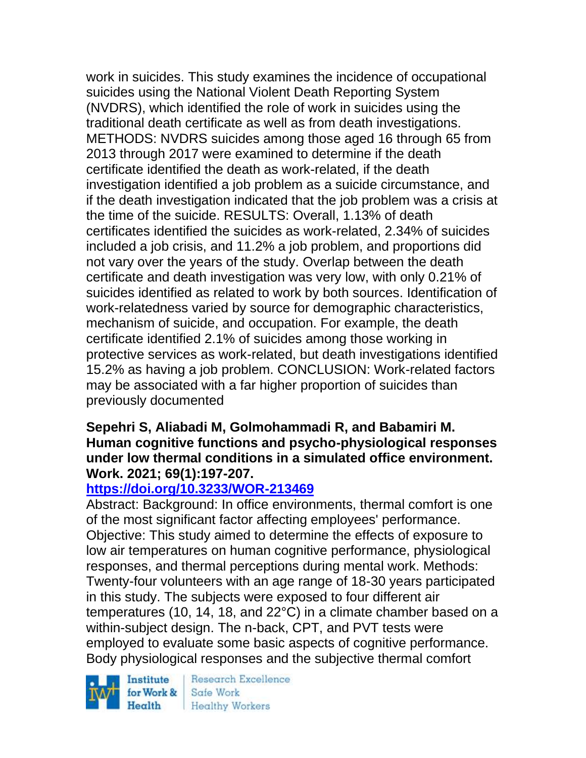work in suicides. This study examines the incidence of occupational suicides using the National Violent Death Reporting System (NVDRS), which identified the role of work in suicides using the traditional death certificate as well as from death investigations. METHODS: NVDRS suicides among those aged 16 through 65 from 2013 through 2017 were examined to determine if the death certificate identified the death as work-related, if the death investigation identified a job problem as a suicide circumstance, and if the death investigation indicated that the job problem was a crisis at the time of the suicide. RESULTS: Overall, 1.13% of death certificates identified the suicides as work-related, 2.34% of suicides included a job crisis, and 11.2% a job problem, and proportions did not vary over the years of the study. Overlap between the death certificate and death investigation was very low, with only 0.21% of suicides identified as related to work by both sources. Identification of work-relatedness varied by source for demographic characteristics, mechanism of suicide, and occupation. For example, the death certificate identified 2.1% of suicides among those working in protective services as work-related, but death investigations identified 15.2% as having a job problem. CONCLUSION: Work-related factors may be associated with a far higher proportion of suicides than previously documented

#### **Sepehri S, Aliabadi M, Golmohammadi R, and Babamiri M. Human cognitive functions and psycho-physiological responses under low thermal conditions in a simulated office environment. Work. 2021; 69(1):197-207.**

# **<https://doi.org/10.3233/WOR-213469>**

Abstract: Background: In office environments, thermal comfort is one of the most significant factor affecting employees' performance. Objective: This study aimed to determine the effects of exposure to low air temperatures on human cognitive performance, physiological responses, and thermal perceptions during mental work. Methods: Twenty-four volunteers with an age range of 18-30 years participated in this study. The subjects were exposed to four different air temperatures (10, 14, 18, and 22°C) in a climate chamber based on a within-subject design. The n-back, CPT, and PVT tests were employed to evaluate some basic aspects of cognitive performance. Body physiological responses and the subjective thermal comfort

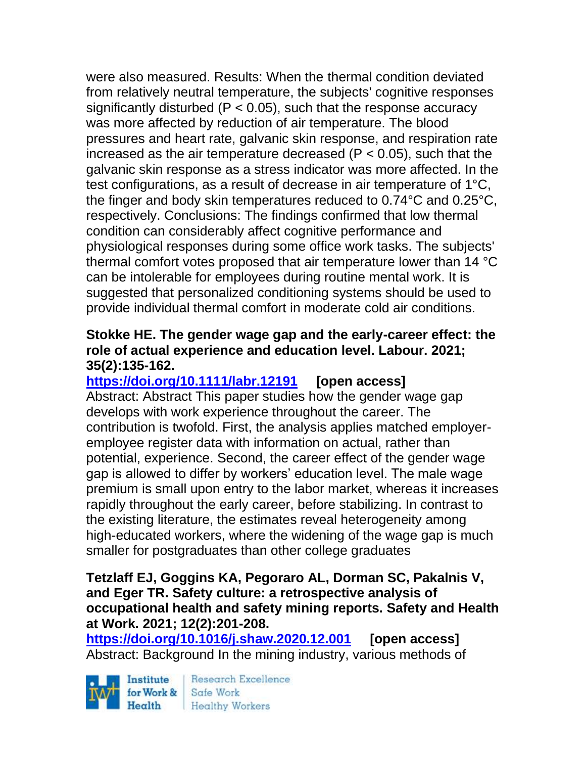were also measured. Results: When the thermal condition deviated from relatively neutral temperature, the subjects' cognitive responses significantly disturbed ( $P < 0.05$ ), such that the response accuracy was more affected by reduction of air temperature. The blood pressures and heart rate, galvanic skin response, and respiration rate increased as the air temperature decreased ( $P < 0.05$ ), such that the galvanic skin response as a stress indicator was more affected. In the test configurations, as a result of decrease in air temperature of 1°C, the finger and body skin temperatures reduced to 0.74°C and 0.25°C, respectively. Conclusions: The findings confirmed that low thermal condition can considerably affect cognitive performance and physiological responses during some office work tasks. The subjects' thermal comfort votes proposed that air temperature lower than 14 °C can be intolerable for employees during routine mental work. It is suggested that personalized conditioning systems should be used to provide individual thermal comfort in moderate cold air conditions.

### **Stokke HE. The gender wage gap and the early-career effect: the role of actual experience and education level. Labour. 2021; 35(2):135-162.**

**<https://doi.org/10.1111/labr.12191> [open access]**

Abstract: Abstract This paper studies how the gender wage gap develops with work experience throughout the career. The contribution is twofold. First, the analysis applies matched employeremployee register data with information on actual, rather than potential, experience. Second, the career effect of the gender wage gap is allowed to differ by workers' education level. The male wage premium is small upon entry to the labor market, whereas it increases rapidly throughout the early career, before stabilizing. In contrast to the existing literature, the estimates reveal heterogeneity among high-educated workers, where the widening of the wage gap is much smaller for postgraduates than other college graduates

#### **Tetzlaff EJ, Goggins KA, Pegoraro AL, Dorman SC, Pakalnis V, and Eger TR. Safety culture: a retrospective analysis of occupational health and safety mining reports. Safety and Health at Work. 2021; 12(2):201-208.**

**<https://doi.org/10.1016/j.shaw.2020.12.001> [open access]** Abstract: Background In the mining industry, various methods of